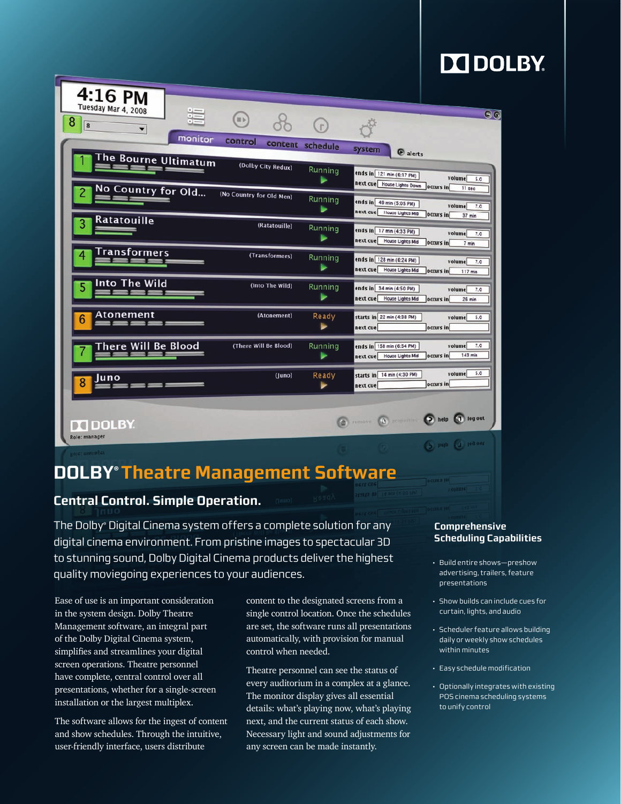# **DO DOLBY.**

| 4:16 PM<br>Tuesday Mar 4, 2008     |                          |                  |                                                                                                         |
|------------------------------------|--------------------------|------------------|---------------------------------------------------------------------------------------------------------|
| 這<br>8<br>8<br>۰                   | $\bigoplus$              | $\binom{1}{r}$   | $\Theta$                                                                                                |
| monitor                            | control                  | content schedule | system<br>@ alerts                                                                                      |
| The Bourne Ultimatum               | (Dolby City Redux)       | Running<br>►     | ends in 121 min (6:17 PM)<br>volume 5.0<br>next cue House Lights Down occurs in<br>11 sec               |
| No Country for Old<br>Ratatouille  | (No Country for Old Men) | Running<br>►     | ends in 49 min (5:05 PM)<br>volume<br>7.0<br>next cue House Lights Mid<br>occurs in<br>37 min           |
|                                    | (Ratatouille)            | Running<br>⋗     | ends in 17 min (4:33 PM)<br>volume<br>7.0<br>next cue House Lights Mid<br>occurs in<br>7 <sub>min</sub> |
| Transformers                       | (Transformers)           | Running<br>⋗     | ends in 128 min (6:24 PM)<br>volume<br>7.0<br>next cue House Lights Mid<br>occurs in<br>117 min         |
| Into The Wild<br>5                 | (Into The Wild)          | Running<br>►     | ends in 34 min (4:50 PM)<br>volume<br>7.0<br>next cue House Lights Mid<br>occurs in<br>26 min           |
| Atonement<br>6                     | (Atonement)              | Ready<br>٠       | starts in 22 min (4:38 PM)<br>volume 5.0<br>next cue<br>occurs in                                       |
| There Will Be Blood                | (There Will Be Blood)    | Running<br>►     | volume<br>7.0<br>ends in 158 min (6:54 PM)<br>143 min<br>occurs in<br>next cue House Lights Mid         |
| Juno                               | (luno)                   | Ready            | volume 5.0<br>starts in 14 min (4:30 PM)<br>occurs in<br>next cue                                       |
| <b>TTI DOLBY.</b><br>Role: manager |                          |                  | <sup>1</sup> Temove. <b>(b)</b> proposition <b>(c)</b> help <b>(c)</b> log out                          |
|                                    |                          |                  | (2) help (1) log out                                                                                    |

## **DOLBY®Theatre Management Software**

### **Central Control. Simple Operation.**

The Dolby® Digital Cinema system offers a complete solution for any digital cinema environment. From pristine images to spectacular 3D to stunning sound, Dolby Digital Cinema products deliver the highest quality moviegoing experiences to your audiences.

Ease of use is an important consideration in the system design. Dolby Theatre Management software, an integral part of the Dolby Digital Cinema system, simplifies and streamlines your digital screen operations. Theatre personnel have complete, central control over all presentations, whether for a single-screen installation or the largest multiplex.

The software allows for the ingest of content and show schedules. Through the intuitive, user-friendly interface, users distribute

content to the designated screens from a single control location. Once the schedules are set, the software runs all presentations automatically, with provision for manual control when needed.

Theatre personnel can see the status of every auditorium in a complex at a glance. The monitor display gives all essential details: what's playing now, what's playing next, and the current status of each show. Necessary light and sound adjustments for any screen can be made instantly.

### **Comprehensive Scheduling Capabilities**

- Build entire shows—preshow advertising, trailers, feature presentations
- Show builds can include cues for curtain, lights, and audio
- Scheduler feature allows building daily or weekly show schedules within minutes
- Easy schedule modification
- Optionally integrates with existing POS cinema scheduling systems to unify control